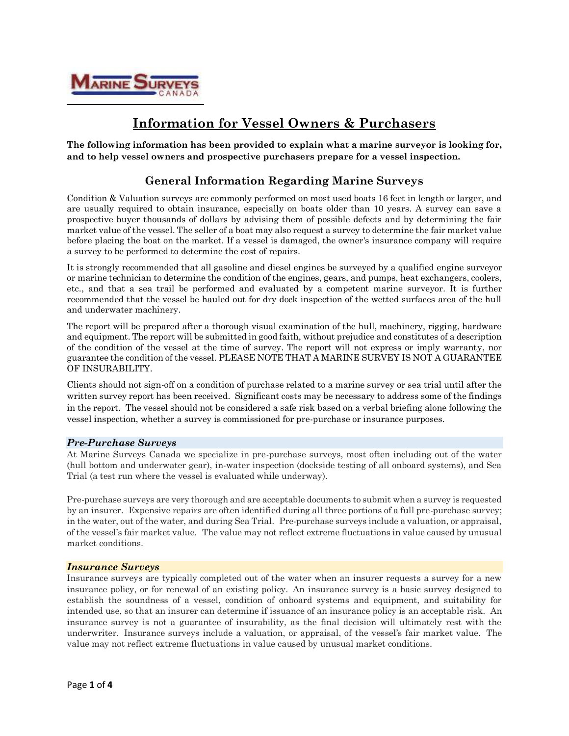

# **Information for Vessel Owners & Purchasers**

**The following information has been provided to explain what a marine surveyor is looking for, and to help vessel owners and prospective purchasers prepare for a vessel inspection.**

## **General Information Regarding Marine Surveys**

Condition & Valuation surveys are commonly performed on most used boats 16 feet in length or larger, and are usually required to obtain insurance, especially on boats older than 10 years. A survey can save a prospective buyer thousands of dollars by advising them of possible defects and by determining the fair market value of the vessel. The seller of a boat may also request a survey to determine the fair market value before placing the boat on the market. If a vessel is damaged, the owner's insurance company will require a survey to be performed to determine the cost of repairs.

It is strongly recommended that all gasoline and diesel engines be surveyed by a qualified engine surveyor or marine technician to determine the condition of the engines, gears, and pumps, heat exchangers, coolers, etc., and that a sea trail be performed and evaluated by a competent marine surveyor. It is further recommended that the vessel be hauled out for dry dock inspection of the wetted surfaces area of the hull and underwater machinery.

The report will be prepared after a thorough visual examination of the hull, machinery, rigging, hardware and equipment. The report will be submitted in good faith, without prejudice and constitutes of a description of the condition of the vessel at the time of survey. The report will not express or imply warranty, nor guarantee the condition of the vessel. PLEASE NOTE THAT A MARINE SURVEY IS NOT A GUARANTEE OF INSURABILITY.

Clients should not sign-off on a condition of purchase related to a marine survey or sea trial until after the written survey report has been received. Significant costs may be necessary to address some of the findings in the report. The vessel should not be considered a safe risk based on a verbal briefing alone following the vessel inspection, whether a survey is commissioned for pre-purchase or insurance purposes.

#### *Pre-Purchase Surveys*

At Marine Surveys Canada we specialize in pre-purchase surveys, most often including out of the water (hull bottom and underwater gear), in-water inspection (dockside testing of all onboard systems), and Sea Trial (a test run where the vessel is evaluated while underway).

Pre-purchase surveys are very thorough and are acceptable documents to submit when a survey is requested by an insurer. Expensive repairs are often identified during all three portions of a full pre-purchase survey; in the water, out of the water, and during Sea Trial. Pre-purchase surveys include a valuation, or appraisal, of the vessel's fair market value. The value may not reflect extreme fluctuations in value caused by unusual market conditions.

#### *Insurance Surveys*

Insurance surveys are typically completed out of the water when an insurer requests a survey for a new insurance policy, or for renewal of an existing policy. An insurance survey is a basic survey designed to establish the soundness of a vessel, condition of onboard systems and equipment, and suitability for intended use, so that an insurer can determine if issuance of an insurance policy is an acceptable risk. An insurance survey is not a guarantee of insurability, as the final decision will ultimately rest with the underwriter. Insurance surveys include a valuation, or appraisal, of the vessel's fair market value. The value may not reflect extreme fluctuations in value caused by unusual market conditions.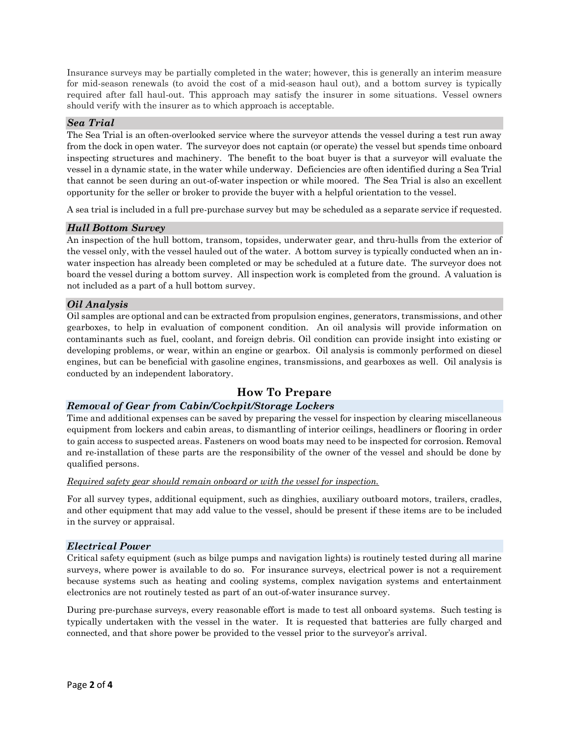Insurance surveys may be partially completed in the water; however, this is generally an interim measure for mid-season renewals (to avoid the cost of a mid-season haul out), and a bottom survey is typically required after fall haul-out. This approach may satisfy the insurer in some situations. Vessel owners should verify with the insurer as to which approach is acceptable.

#### *Sea Trial*

The Sea Trial is an often-overlooked service where the surveyor attends the vessel during a test run away from the dock in open water. The surveyor does not captain (or operate) the vessel but spends time onboard inspecting structures and machinery. The benefit to the boat buyer is that a surveyor will evaluate the vessel in a dynamic state, in the water while underway. Deficiencies are often identified during a Sea Trial that cannot be seen during an out-of-water inspection or while moored. The Sea Trial is also an excellent opportunity for the seller or broker to provide the buyer with a helpful orientation to the vessel.

A sea trial is included in a full pre-purchase survey but may be scheduled as a separate service if requested.

#### *Hull Bottom Survey*

An inspection of the hull bottom, transom, topsides, underwater gear, and thru-hulls from the exterior of the vessel only, with the vessel hauled out of the water. A bottom survey is typically conducted when an inwater inspection has already been completed or may be scheduled at a future date. The surveyor does not board the vessel during a bottom survey. All inspection work is completed from the ground. A valuation is not included as a part of a hull bottom survey.

#### *Oil Analysis*

Oil samples are optional and can be extracted from propulsion engines, generators, transmissions, and other gearboxes, to help in evaluation of component condition. An oil analysis will provide information on contaminants such as fuel, coolant, and foreign debris. Oil condition can provide insight into existing or developing problems, or wear, within an engine or gearbox. Oil analysis is commonly performed on diesel engines, but can be beneficial with gasoline engines, transmissions, and gearboxes as well. Oil analysis is conducted by an independent laboratory.

### **How To Prepare**

#### *Removal of Gear from Cabin/Cockpit/Storage Lockers*

Time and additional expenses can be saved by preparing the vessel for inspection by clearing miscellaneous equipment from lockers and cabin areas, to dismantling of interior ceilings, headliners or flooring in order to gain access to suspected areas. Fasteners on wood boats may need to be inspected for corrosion. Removal and re-installation of these parts are the responsibility of the owner of the vessel and should be done by qualified persons.

#### *Required safety gear should remain onboard or with the vessel for inspection.*

For all survey types, additional equipment, such as dinghies, auxiliary outboard motors, trailers, cradles, and other equipment that may add value to the vessel, should be present if these items are to be included in the survey or appraisal.

#### *Electrical Power*

Critical safety equipment (such as bilge pumps and navigation lights) is routinely tested during all marine surveys, where power is available to do so. For insurance surveys, electrical power is not a requirement because systems such as heating and cooling systems, complex navigation systems and entertainment electronics are not routinely tested as part of an out-of-water insurance survey.

During pre-purchase surveys, every reasonable effort is made to test all onboard systems. Such testing is typically undertaken with the vessel in the water. It is requested that batteries are fully charged and connected, and that shore power be provided to the vessel prior to the surveyor's arrival.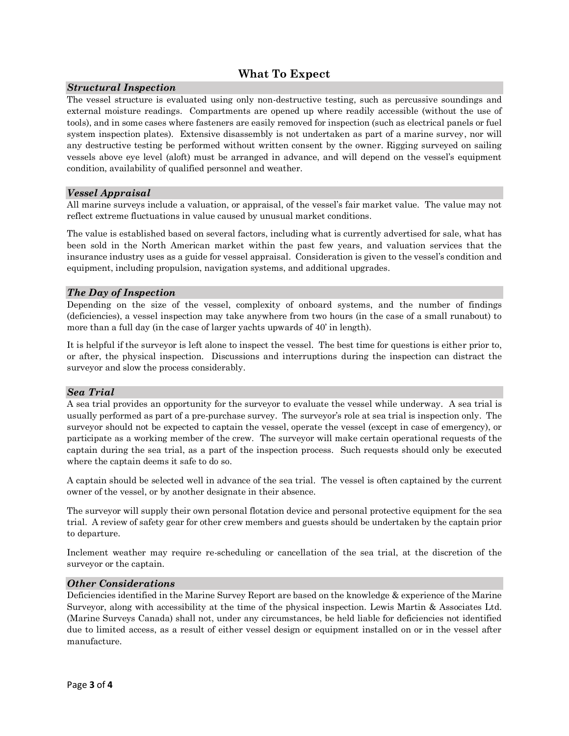### **What To Expect**

#### *Structural Inspection*

The vessel structure is evaluated using only non-destructive testing, such as percussive soundings and external moisture readings. Compartments are opened up where readily accessible (without the use of tools), and in some cases where fasteners are easily removed for inspection (such as electrical panels or fuel system inspection plates). Extensive disassembly is not undertaken as part of a marine survey, nor will any destructive testing be performed without written consent by the owner. Rigging surveyed on sailing vessels above eye level (aloft) must be arranged in advance, and will depend on the vessel's equipment condition, availability of qualified personnel and weather.

#### *Vessel Appraisal*

All marine surveys include a valuation, or appraisal, of the vessel's fair market value. The value may not reflect extreme fluctuations in value caused by unusual market conditions.

The value is established based on several factors, including what is currently advertised for sale, what has been sold in the North American market within the past few years, and valuation services that the insurance industry uses as a guide for vessel appraisal. Consideration is given to the vessel's condition and equipment, including propulsion, navigation systems, and additional upgrades.

#### *The Day of Inspection*

Depending on the size of the vessel, complexity of onboard systems, and the number of findings (deficiencies), a vessel inspection may take anywhere from two hours (in the case of a small runabout) to more than a full day (in the case of larger yachts upwards of 40' in length).

It is helpful if the surveyor is left alone to inspect the vessel. The best time for questions is either prior to, or after, the physical inspection. Discussions and interruptions during the inspection can distract the surveyor and slow the process considerably.

#### *Sea Trial*

A sea trial provides an opportunity for the surveyor to evaluate the vessel while underway. A sea trial is usually performed as part of a pre-purchase survey. The surveyor's role at sea trial is inspection only. The surveyor should not be expected to captain the vessel, operate the vessel (except in case of emergency), or participate as a working member of the crew. The surveyor will make certain operational requests of the captain during the sea trial, as a part of the inspection process. Such requests should only be executed where the captain deems it safe to do so.

A captain should be selected well in advance of the sea trial. The vessel is often captained by the current owner of the vessel, or by another designate in their absence.

The surveyor will supply their own personal flotation device and personal protective equipment for the sea trial. A review of safety gear for other crew members and guests should be undertaken by the captain prior to departure.

Inclement weather may require re-scheduling or cancellation of the sea trial, at the discretion of the surveyor or the captain.

#### *Other Considerations*

Deficiencies identified in the Marine Survey Report are based on the knowledge & experience of the Marine Surveyor, along with accessibility at the time of the physical inspection. Lewis Martin & Associates Ltd. (Marine Surveys Canada) shall not, under any circumstances, be held liable for deficiencies not identified due to limited access, as a result of either vessel design or equipment installed on or in the vessel after manufacture.